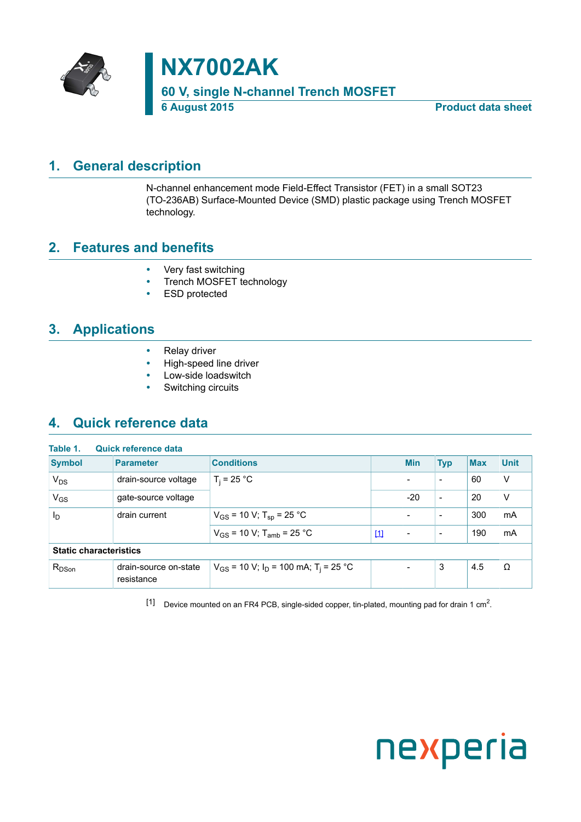

## **NX7002AK**

**60 V, single N-channel Trench MOSFET**

**Product data sheet** 

### **1. General description**

<span id="page-0-1"></span><span id="page-0-0"></span>N-channel enhancement mode Field-Effect Transistor (FET) in a small SOT23 (TO-236AB) Surface-Mounted Device (SMD) plastic package using Trench MOSFET technology.

### **2. Features and benefits**

- <span id="page-0-2"></span>• Very fast switching
- Trench MOSFET technology<br>• ESD protected
- **ESD** protected

### **3. Applications**

- <span id="page-0-3"></span>• Relay driver
- High-speed line driver
- Low-side loadswitch
- <span id="page-0-4"></span>Switching circuits

### **4. Quick reference data**

| Table 1.                      | Quick reference data                |                                                         |             |                          |                          |            |             |
|-------------------------------|-------------------------------------|---------------------------------------------------------|-------------|--------------------------|--------------------------|------------|-------------|
| <b>Symbol</b>                 | <b>Parameter</b>                    | <b>Conditions</b>                                       |             | <b>Min</b>               | <b>Typ</b>               | <b>Max</b> | <b>Unit</b> |
| $V_{DS}$                      | drain-source voltage                | $T_i = 25 °C$                                           |             |                          | $\overline{\phantom{a}}$ | 60         | V           |
| $V_{GS}$                      | gate-source voltage                 |                                                         |             | $-20$                    | $\overline{\phantom{a}}$ | 20         | v           |
| $I_{\rm D}$                   | drain current                       | $V_{GS}$ = 10 V; T <sub>sp</sub> = 25 °C                |             |                          | $\overline{\phantom{0}}$ | 300        | mA          |
|                               |                                     | $V_{GS}$ = 10 V; T <sub>amb</sub> = 25 °C               | $\boxed{1}$ | $\overline{\phantom{0}}$ | $\overline{\phantom{0}}$ | 190        | mA          |
| <b>Static characteristics</b> |                                     |                                                         |             |                          |                          |            |             |
| $R_{DSon}$                    | drain-source on-state<br>resistance | $V_{GS}$ = 10 V; $I_D$ = 100 mA; T <sub>i</sub> = 25 °C |             |                          | 3                        | 4.5        | Ω           |

[1] Device mounted on an FR4 PCB, single-sided copper, tin-plated, mounting pad for drain 1 cm<sup>2</sup>.

# nexperia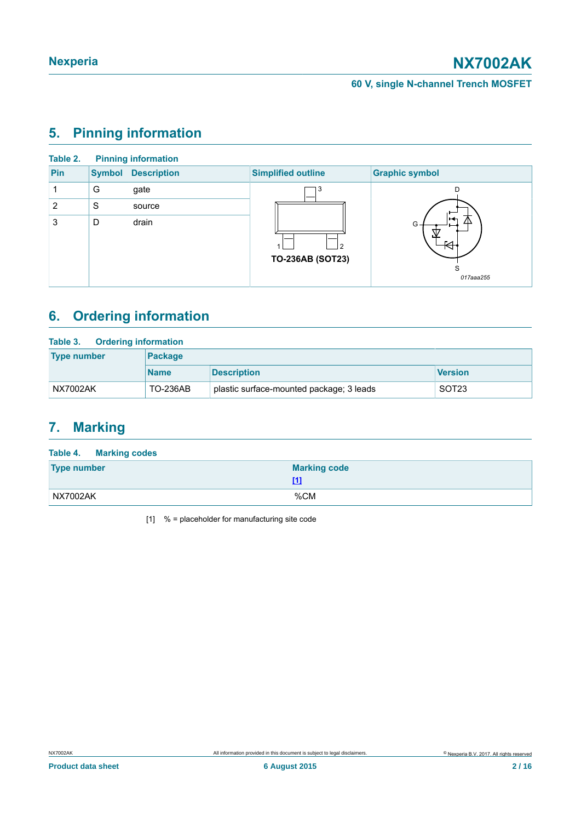**60 V, single N-channel Trench MOSFET**

### <span id="page-1-1"></span><span id="page-1-0"></span>**5. Pinning information**

| Table 2. |               | <b>Pinning information</b> |                           |                                 |
|----------|---------------|----------------------------|---------------------------|---------------------------------|
| Pin      | <b>Symbol</b> | <b>Description</b>         | <b>Simplified outline</b> | <b>Graphic symbol</b>           |
|          | G             | gate                       | 13                        |                                 |
| 2        | S             | source                     |                           |                                 |
| 3        | D             | drain                      | TO-236AB (SOT23)          | ⊩⊷<br>G<br>77<br>C<br>017aaa255 |

### <span id="page-1-2"></span>**6. Ordering information**

| <b>Ordering information</b><br>Table 3. |                 |                                          |                   |  |  |  |  |
|-----------------------------------------|-----------------|------------------------------------------|-------------------|--|--|--|--|
| <b>Type number</b><br><b>Package</b>    |                 |                                          |                   |  |  |  |  |
|                                         | <b>Name</b>     | <b>Description</b>                       | <b>Version</b>    |  |  |  |  |
| NX7002AK                                | <b>TO-236AB</b> | plastic surface-mounted package; 3 leads | SOT <sub>23</sub> |  |  |  |  |

### **7. Marking**

| Table 4. Marking codes |                     |
|------------------------|---------------------|
| <b>Type number</b>     | <b>Marking code</b> |
|                        | $\boxed{1}$         |
| NX7002AK               | %CM                 |

<span id="page-1-3"></span>[1] % = placeholder for manufacturing site code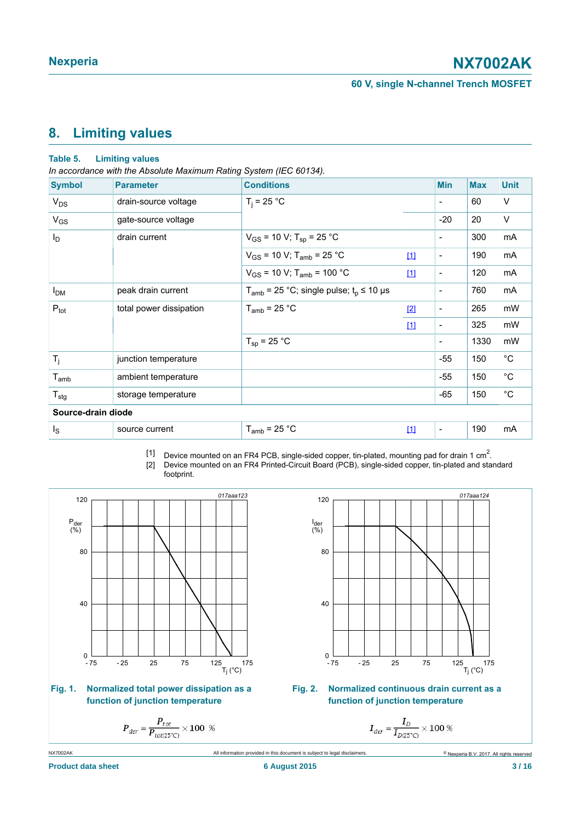#### **60 V, single N-channel Trench MOSFET**

#### <span id="page-2-1"></span><span id="page-2-0"></span>**8. Limiting values**

#### **Table 5. Limiting values**

*In accordance with the Absolute Maximum Rating System (IEC 60134).*

| <b>Symbol</b>          | <b>Parameter</b>        | <b>Conditions</b>                                |             | <b>Min</b>               | <b>Max</b> | <b>Unit</b>       |
|------------------------|-------------------------|--------------------------------------------------|-------------|--------------------------|------------|-------------------|
| $V_{DS}$               | drain-source voltage    | $T_i = 25 °C$                                    |             | $\overline{\phantom{a}}$ | 60         | V                 |
| $V_{GS}$               | gate-source voltage     |                                                  |             | $-20$                    | 20         | $\vee$            |
| I <sub>D</sub>         | drain current           | $V_{GS}$ = 10 V; T <sub>sp</sub> = 25 °C         |             | $\overline{\phantom{a}}$ | 300        | mA                |
|                        |                         | $V_{GS}$ = 10 V; T <sub>amb</sub> = 25 °C        | $[1]$       | $\overline{\phantom{a}}$ | 190        | mA                |
|                        |                         | $V_{GS}$ = 10 V; T <sub>amb</sub> = 100 °C       | $[1]$       | $\overline{\phantom{a}}$ | 120        | mA                |
| <b>I</b> <sub>DM</sub> | peak drain current      | $T_{amb}$ = 25 °C; single pulse; $t_p \le 10$ µs |             | $\blacksquare$           | 760        | mA                |
| $P_{\text{tot}}$       | total power dissipation | $T_{amb}$ = 25 °C                                | $[2]$       | $\overline{\phantom{a}}$ | 265        | mW                |
|                        |                         |                                                  | $[1]$       | $\overline{\phantom{a}}$ | 325        | mW                |
|                        |                         | $T_{sp}$ = 25 °C                                 |             | $\overline{\phantom{a}}$ | 1330       | mW                |
| $T_j$                  | junction temperature    |                                                  |             | $-55$                    | 150        | $^{\circ}{\rm C}$ |
| $T_{amb}$              | ambient temperature     |                                                  |             | $-55$                    | 150        | $^{\circ}{\rm C}$ |
| $T_{\text{stg}}$       | storage temperature     |                                                  |             | $-65$                    | 150        | $^{\circ}{\rm C}$ |
| Source-drain diode     |                         |                                                  |             |                          |            |                   |
| $I_{\rm S}$            | source current          | $T_{amb}$ = 25 °C                                | $\boxed{1}$ | $\overline{\phantom{a}}$ | 190        | mA                |

[1] Device mounted on an FR4 PCB, single-sided copper, tin-plated, mounting pad for drain 1 cm<sup>2</sup>.

[2] Device mounted on an FR4 Printed-Circuit Board (PCB), single-sided copper, tin-plated and standard footprint.







$$
P_{der} = \frac{P_{tot}}{P_{tot(25^{\circ}C)}} \times 100 \%
$$





$$
I_{der} = \frac{I_D}{I_{D\text{Q5°C}}} \times 100\%
$$

NX7002AK All information provided in this document is subject to legal disclaimers.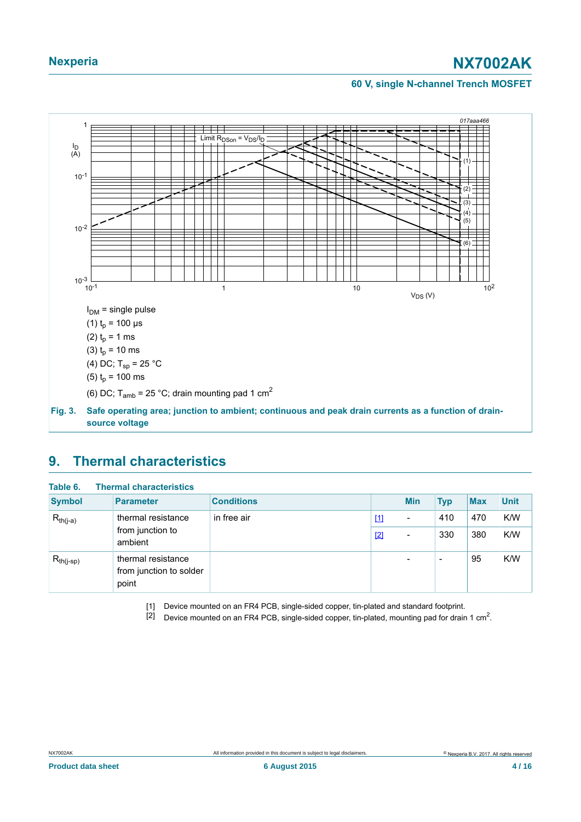#### **60 V, single N-channel Trench MOSFET**

<span id="page-3-0"></span>

### <span id="page-3-1"></span>**9. Thermal characteristics**

| Table 6.       | <b>Thermal characteristics</b>                         |                   |             |                          |            |            |             |
|----------------|--------------------------------------------------------|-------------------|-------------|--------------------------|------------|------------|-------------|
| <b>Symbol</b>  | <b>Parameter</b>                                       | <b>Conditions</b> |             | <b>Min</b>               | <b>Typ</b> | <b>Max</b> | <b>Unit</b> |
| $R_{th(j-a)}$  | thermal resistance<br>from junction to<br>ambient      | in free air       | $\boxed{1}$ | $\overline{\phantom{a}}$ | 410        | 470        | K/W         |
|                |                                                        |                   | $[2]$       | $\overline{\phantom{0}}$ | 330        | 380        | K/W         |
| $R_{th(j-sp)}$ | thermal resistance<br>from junction to solder<br>point |                   |             |                          | -          | 95         | K/W         |

[1] Device mounted on an FR4 PCB, single-sided copper, tin-plated and standard footprint.

 $[2]$  Device mounted on an FR4 PCB, single-sided copper, tin-plated, mounting pad for drain 1 cm<sup>2</sup>.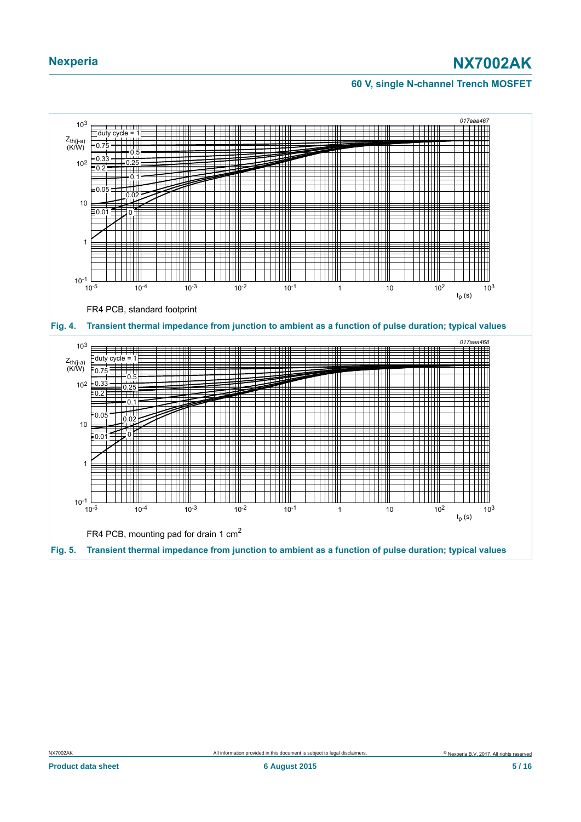

#### **60 V, single N-channel Trench MOSFET**

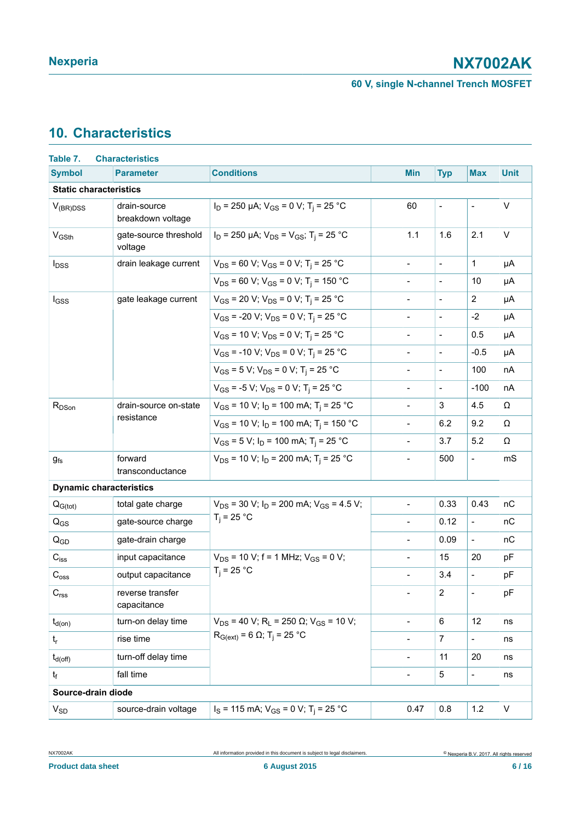#### **60 V, single N-channel Trench MOSFET**

### <span id="page-5-0"></span>**10. Characteristics**

| Table 7.                       | <b>Characteristics</b>              |                                                                          |                          |                          |                          |             |
|--------------------------------|-------------------------------------|--------------------------------------------------------------------------|--------------------------|--------------------------|--------------------------|-------------|
| <b>Symbol</b>                  | <b>Parameter</b>                    | <b>Conditions</b>                                                        | <b>Min</b>               | <b>Typ</b>               | <b>Max</b>               | <b>Unit</b> |
| <b>Static characteristics</b>  |                                     |                                                                          |                          |                          |                          |             |
| $V_{(BR)DSS}$                  | drain-source<br>breakdown voltage   | $I_D$ = 250 µA; $V_{GS}$ = 0 V; T <sub>i</sub> = 25 °C                   | 60                       | $\overline{\phantom{a}}$ | $\blacksquare$           | $\vee$      |
| V <sub>GSth</sub>              | gate-source threshold<br>voltage    | $I_D$ = 250 µA; $V_{DS}$ = $V_{GS}$ ; T <sub>i</sub> = 25 °C             | 1.1                      | 1.6                      | 2.1                      | V           |
| <b>I</b> <sub>DSS</sub>        | drain leakage current               | $V_{DS}$ = 60 V; V <sub>GS</sub> = 0 V; T <sub>i</sub> = 25 °C           | $\overline{a}$           | $\overline{a}$           | $\mathbf{1}$             | μA          |
|                                |                                     | $V_{DS}$ = 60 V; V <sub>GS</sub> = 0 V; T <sub>i</sub> = 150 °C          | $\overline{a}$           | $\overline{a}$           | 10                       | μA          |
| l <sub>GSS</sub>               | gate leakage current                | $V_{GS}$ = 20 V; $V_{DS}$ = 0 V; T <sub>i</sub> = 25 °C                  |                          | $\overline{a}$           | $\overline{2}$           | μA          |
|                                |                                     | $V_{GS}$ = -20 V; $V_{DS}$ = 0 V; T <sub>i</sub> = 25 °C                 | $\overline{a}$           | $\overline{a}$           | $-2$                     | μA          |
|                                |                                     | $V_{GS}$ = 10 V; $V_{DS}$ = 0 V; T <sub>i</sub> = 25 °C                  | $\overline{\phantom{a}}$ | $\blacksquare$           | 0.5                      | μA          |
|                                |                                     | $V_{GS}$ = -10 V; $V_{DS}$ = 0 V; T <sub>i</sub> = 25 °C                 | $\blacksquare$           | $\blacksquare$           | $-0.5$                   | μA          |
|                                |                                     | $V_{GS}$ = 5 V; $V_{DS}$ = 0 V; T <sub>i</sub> = 25 °C                   | $\overline{\phantom{a}}$ | $\blacksquare$           | 100                      | nA          |
|                                |                                     | $V_{GS}$ = -5 V; $V_{DS}$ = 0 V; T <sub>i</sub> = 25 °C                  | $\overline{\phantom{a}}$ | $\blacksquare$           | $-100$                   | nA          |
| $R_{DSon}$                     | drain-source on-state<br>resistance | $V_{GS}$ = 10 V; $I_D$ = 100 mA; T <sub>i</sub> = 25 °C                  | $\overline{\phantom{a}}$ | 3                        | 4.5                      | Ω           |
|                                |                                     | $V_{GS}$ = 10 V; $I_D$ = 100 mA; T <sub>i</sub> = 150 °C                 | $\blacksquare$           | 6.2                      | 9.2                      | Ω           |
|                                |                                     | $V_{GS}$ = 5 V; I <sub>D</sub> = 100 mA; T <sub>i</sub> = 25 °C          | $\overline{\phantom{a}}$ | 3.7                      | 5.2                      | Ω           |
| $g_{fs}$                       | forward<br>transconductance         | $V_{DS}$ = 10 V; $I_D$ = 200 mA; T <sub>i</sub> = 25 °C                  |                          | 500                      | $\frac{1}{2}$            | mS          |
| <b>Dynamic characteristics</b> |                                     |                                                                          |                          |                          |                          |             |
| $Q_{G(tot)}$                   | total gate charge                   | $V_{DS}$ = 30 V; $I_D$ = 200 mA; $V_{GS}$ = 4.5 V;                       | $\overline{a}$           | 0.33                     | 0.43                     | nC          |
| $\mathsf{Q}_{\mathsf{GS}}$     | gate-source charge                  | $T_i = 25 °C$                                                            | $\overline{\phantom{a}}$ | 0.12                     | $\overline{a}$           | nC          |
| $\mathsf{Q}_{\mathsf{GD}}$     | gate-drain charge                   |                                                                          | $\overline{a}$           | 0.09                     | $\overline{a}$           | nC          |
| $\mathrm{C}_{\mathsf{iss}}$    | input capacitance                   | $V_{DS}$ = 10 V; f = 1 MHz; $V_{GS}$ = 0 V;                              | $\overline{\phantom{a}}$ | 15                       | 20                       | pF          |
| $\mathrm{C}_{\mathrm{oss}}$    | output capacitance                  | $T_i = 25 °C$                                                            | $\overline{\phantom{a}}$ | 3.4                      |                          | pF          |
| $\mathsf{C}_{\mathsf{rss}}$    | reverse transfer<br>capacitance     |                                                                          |                          | $\overline{2}$           |                          | pF          |
| $t_{d(on)}$                    | turn-on delay time                  | $V_{DS}$ = 40 V; R <sub>L</sub> = 250 $\Omega$ ; V <sub>GS</sub> = 10 V; | $\overline{\phantom{a}}$ | 6                        | 12                       | ns          |
| $t_r$                          | rise time                           | $R_{G(ext)} = 6 Ω$ ; T <sub>j</sub> = 25 °C                              | $\overline{\phantom{a}}$ | $\overline{7}$           | $\overline{\phantom{0}}$ | ns          |
| $t_{d(\text{off})}$            | turn-off delay time                 |                                                                          | $\overline{\phantom{a}}$ | 11                       | 20                       | ns          |
| $t_f$                          | fall time                           |                                                                          | $\overline{\phantom{a}}$ | 5                        | $\overline{\phantom{a}}$ | ns          |
| Source-drain diode             |                                     |                                                                          |                          |                          |                          |             |
| $\mathsf{V}_{\mathsf{SD}}$     | source-drain voltage                | $I_S$ = 115 mA; $V_{GS}$ = 0 V; T <sub>i</sub> = 25 °C                   | 0.47                     | 0.8                      | $1.2$                    | V           |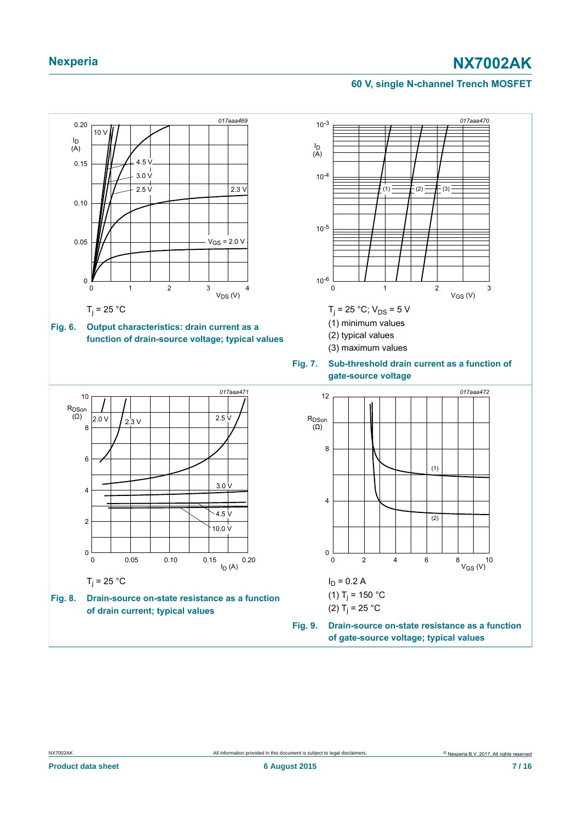#### **60 V, single N-channel Trench MOSFET**

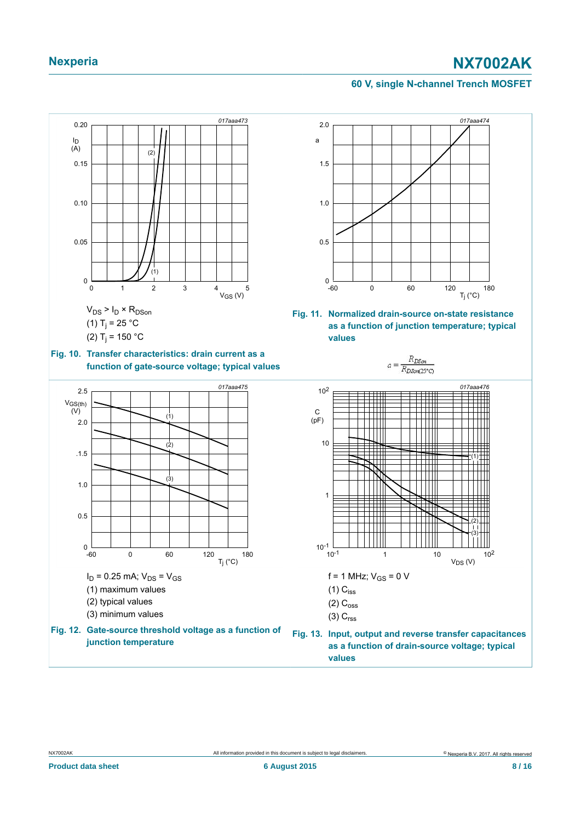#### **60 V, single N-channel Trench MOSFET**



NX7002AK All information provided in this document is subject to legal disclaimers.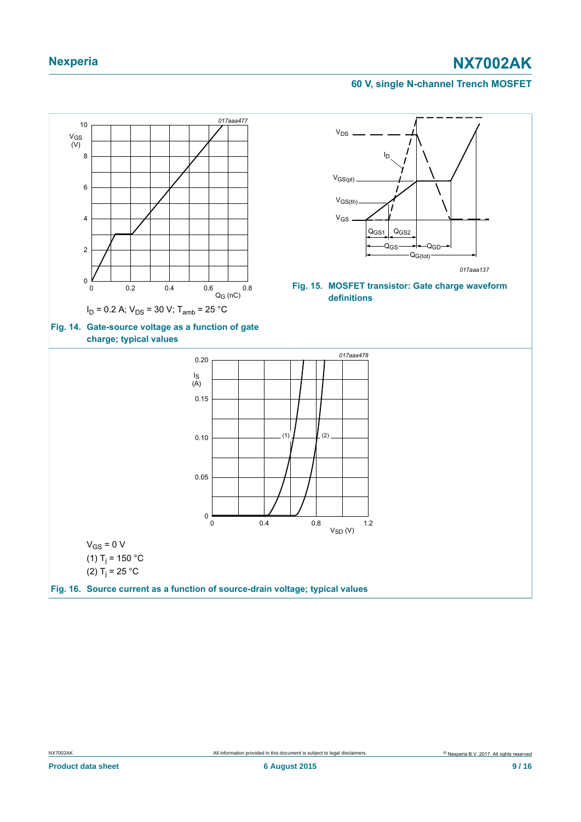#### **60 V, single N-channel Trench MOSFET**

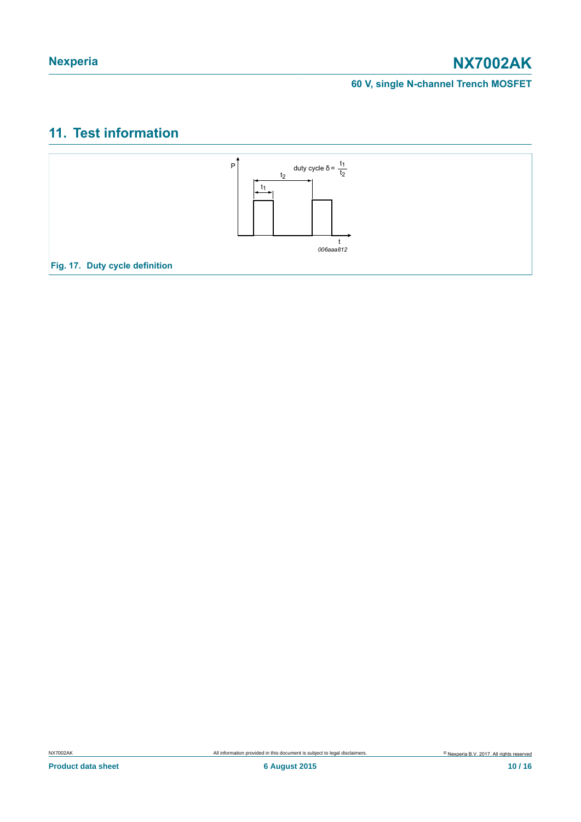#### **60 V, single N-channel Trench MOSFET**

### <span id="page-9-0"></span>**11. Test information**

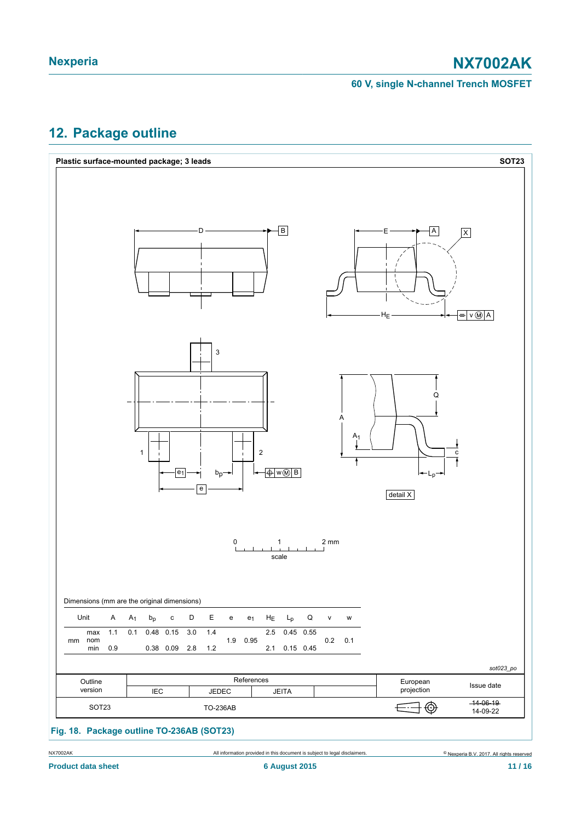#### **60 V, single N-channel Trench MOSFET**

### <span id="page-10-0"></span>**12. Package outline**

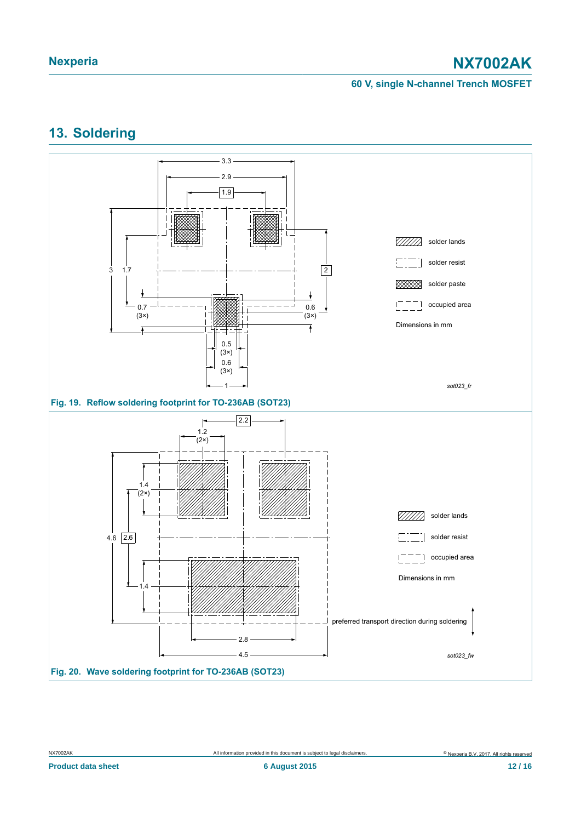#### **60 V, single N-channel Trench MOSFET**

### <span id="page-11-0"></span>**13. Soldering**

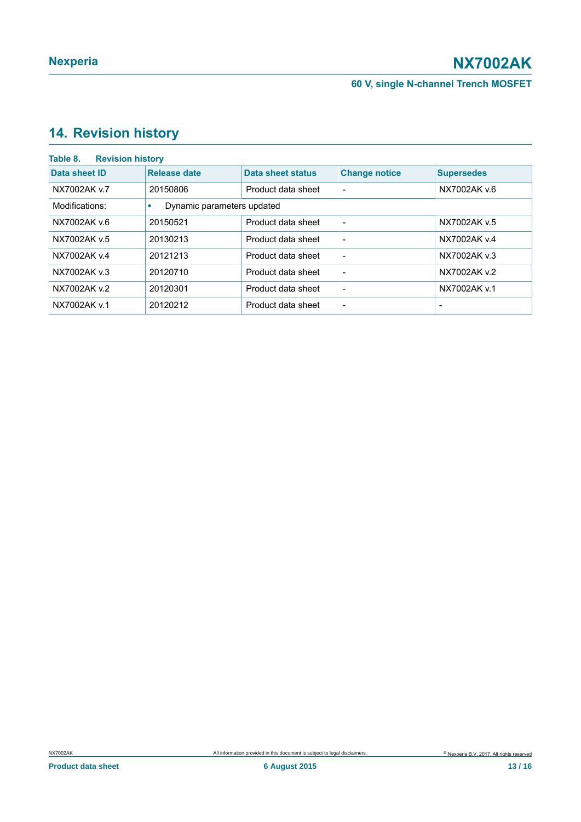#### **60 V, single N-channel Trench MOSFET**

### <span id="page-12-0"></span>**14. Revision history**

| <b>Revision history</b><br>Table 8. |                                 |                    |                          |                          |
|-------------------------------------|---------------------------------|--------------------|--------------------------|--------------------------|
| Data sheet ID                       | <b>Release date</b>             | Data sheet status  | <b>Change notice</b>     | <b>Supersedes</b>        |
| NX7002AK v.7                        | 20150806                        | Product data sheet | $\overline{\phantom{a}}$ | NX7002AK v.6             |
| Modifications:                      | Dynamic parameters updated<br>۰ |                    |                          |                          |
| NX7002AK v.6                        | 20150521                        | Product data sheet | $\overline{\phantom{a}}$ | NX7002AK v.5             |
| NX7002AK v.5                        | 20130213                        | Product data sheet | $\overline{\phantom{a}}$ | NX7002AK v.4             |
| NX7002AK v.4                        | 20121213                        | Product data sheet | $\overline{\phantom{a}}$ | NX7002AK $v$ 3           |
| NX7002AK v.3                        | 20120710                        | Product data sheet | $\overline{\phantom{a}}$ | NX7002AK v.2             |
| NX7002AK v.2                        | 20120301                        | Product data sheet | $\overline{\phantom{a}}$ | NX7002AK v.1             |
| NX7002AK v.1                        | 20120212                        | Product data sheet | $\overline{\phantom{a}}$ | $\overline{\phantom{0}}$ |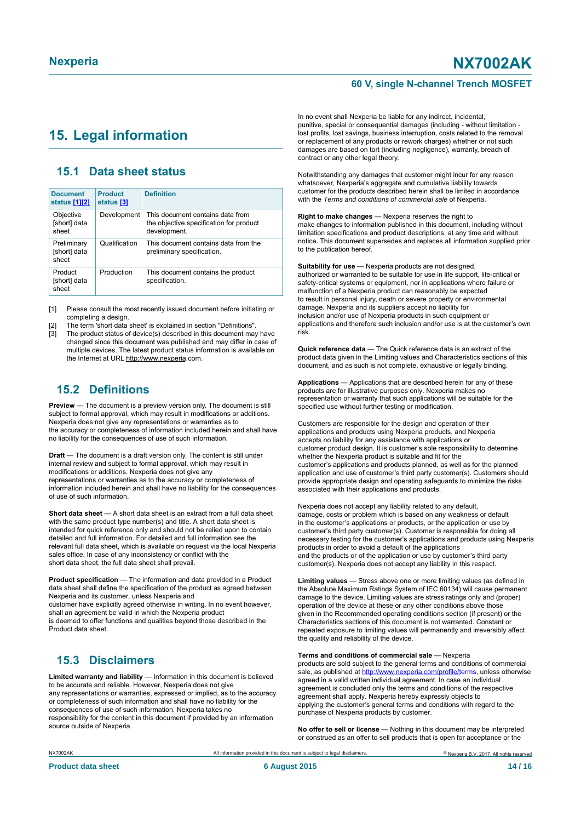#### **60 V, single N-channel Trench MOSFET**

#### <span id="page-13-1"></span><span id="page-13-0"></span>**15. Legal information**

#### <span id="page-13-2"></span>**15.1 Data sheet status**

| <b>Document</b><br>status [1][2]     | <b>Product</b><br>status [3] | <b>Definition</b>                                                                           |
|--------------------------------------|------------------------------|---------------------------------------------------------------------------------------------|
| Objective<br>[short] data<br>sheet   | Development                  | This document contains data from<br>the objective specification for product<br>development. |
| Preliminary<br>[short] data<br>sheet | Qualification                | This document contains data from the<br>preliminary specification.                          |
| Product<br>[short] data<br>sheet     | Production                   | This document contains the product<br>specification.                                        |

[1] Please consult the most recently issued document before initiating or completing a design.

[2] The term 'short data sheet' is explained in section "Definitions".

The product status of device(s) described in this document may have changed since this document was published and may differ in case of multiple devices. The latest product status information is available on the Internet at URL http://www.nexperia.com.

#### <span id="page-13-3"></span>**15.2 Definitions**

**Preview** — The document is a preview version only. The document is still subject to formal approval, which may result in modifications or additions. Nexperia does not give any representations or warranties as to the accuracy or completeness of information included herein and shall have no liability for the consequences of use of such information.

**Draft** — The document is a draft version only. The content is still under internal review and subject to formal approval, which may result in modifications or additions. Nexperia does not give any representations or warranties as to the accuracy or completeness of information included herein and shall have no liability for the consequences of use of such information.

**Short data sheet** — A short data sheet is an extract from a full data sheet with the same product type number(s) and title. A short data sheet is intended for quick reference only and should not be relied upon to contain detailed and full information. For detailed and full information see the relevant full data sheet, which is available on request via the local Nexperia sales office. In case of any inconsistency or conflict with the short data sheet, the full data sheet shall prevail.

**Product specification** — The information and data provided in a Product data sheet shall define the specification of the product as agreed between Nexperia and its customer, unless Nexperia and

customer have explicitly agreed otherwise in writing. In no event however, shall an agreement be valid in which the Nexperia product is deemed to offer functions and qualities beyond those described in the Product data sheet.

#### <span id="page-13-4"></span>**15.3 Disclaimers**

**Limited warranty and liability** — Information in this document is believed to be accurate and reliable. However, Nexperia does not give any representations or warranties, expressed or implied, as to the accuracy or completeness of such information and shall have no liability for the consequences of use of such information. Nexperia takes no responsibility for the content in this document if provided by an information source outside of Nexperia.

In no event shall Nexperia be liable for any indirect, incidental, punitive, special or consequential damages (including - without limitation lost profits, lost savings, business interruption, costs related to the removal or replacement of any products or rework charges) whether or not such damages are based on tort (including negligence), warranty, breach of contract or any other legal theory.

Notwithstanding any damages that customer might incur for any reason whatsoever, Nexperia's aggregate and cumulative liability towards customer for the products described herein shall be limited in accordance with the *Terms and conditions of commercial sale* of Nexperia.

**Right to make changes** — Nexperia reserves the right to make changes to information published in this document, including without limitation specifications and product descriptions, at any time and without notice. This document supersedes and replaces all information supplied prior to the publication hereof.

**Suitability for use** — Nexperia products are not designed, authorized or warranted to be suitable for use in life support, life-critical or safety-critical systems or equipment, nor in applications where failure or malfunction of a Nexperia product can reasonably be expected to result in personal injury, death or severe property or environmental damage. Nexperia and its suppliers accept no liability for inclusion and/or use of Nexperia products in such equipment or applications and therefore such inclusion and/or use is at the customer's own risk.

**Quick reference data** — The Quick reference data is an extract of the product data given in the Limiting values and Characteristics sections of this document, and as such is not complete, exhaustive or legally binding.

**Applications** — Applications that are described herein for any of these products are for illustrative purposes only. Nexperia makes no representation or warranty that such applications will be suitable for the specified use without further testing or modification.

Customers are responsible for the design and operation of their applications and products using Nexperia products, and Nexperia accepts no liability for any assistance with applications or customer product design. It is customer's sole responsibility to determine whether the Nexperia product is suitable and fit for the customer's applications and products planned, as well as for the planned application and use of customer's third party customer(s). Customers should provide appropriate design and operating safeguards to minimize the risks associated with their applications and products.

Nexperia does not accept any liability related to any default, damage, costs or problem which is based on any weakness or default in the customer's applications or products, or the application or use by customer's third party customer(s). Customer is responsible for doing all necessary testing for the customer's applications and products using Nexperia products in order to avoid a default of the applications and the products or of the application or use by customer's third party customer(s). Nexperia does not accept any liability in this respect.

**Limiting values** — Stress above one or more limiting values (as defined in the Absolute Maximum Ratings System of IEC 60134) will cause permanent damage to the device. Limiting values are stress ratings only and (proper) operation of the device at these or any other conditions above those given in the Recommended operating conditions section (if present) or the Characteristics sections of this document is not warranted. Constant or repeated exposure to limiting values will permanently and irreversibly affect the quality and reliability of the device.

#### **Terms and conditions of commercial sale** — Nexperia

products are sold subject to the general terms and conditions of commercial sale, as published at [http://www.nexperia.com/profile/t](http://www.nexperia.com/profile/terms)erms, unless otherwise agreed in a valid written individual agreement. In case an individual agreement is concluded only the terms and conditions of the respective agreement shall apply. Nexperia hereby expressly objects to applying the customer's general terms and conditions with regard to the purchase of Nexperia products by customer.

**No offer to sell or license** — Nothing in this document may be interpreted or construed as an offer to sell products that is open for acceptance or the

© Nexperia B.V. 2017. All rights reserved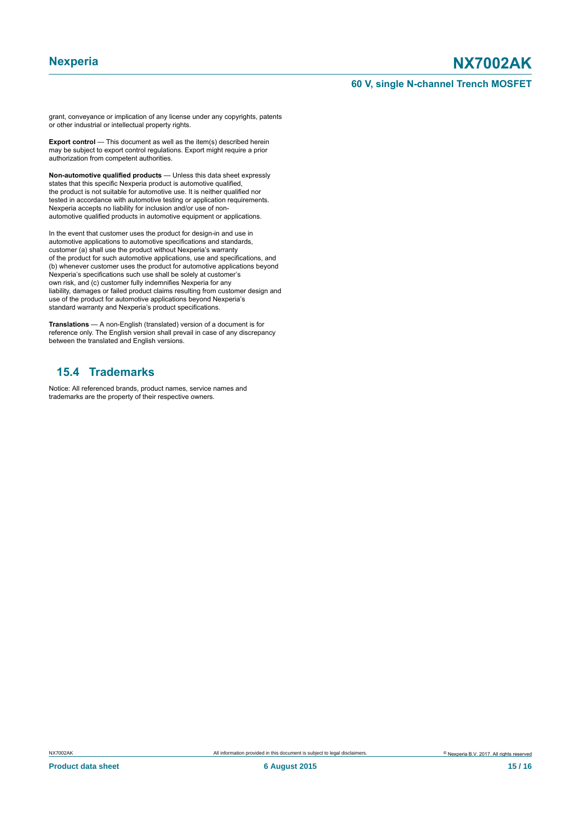#### **60 V, single N-channel Trench MOSFET**

grant, conveyance or implication of any license under any copyrights, patents or other industrial or intellectual property rights.

**Export control** — This document as well as the item(s) described herein may be subject to export control regulations. Export might require a prior authorization from competent authorities.

**Non-automotive qualified products** — Unless this data sheet expressly states that this specific Nexperia product is automotive qualified, the product is not suitable for automotive use. It is neither qualified nor tested in accordance with automotive testing or application requirements. Nexperia accepts no liability for inclusion and/or use of nonautomotive qualified products in automotive equipment or applications.

In the event that customer uses the product for design-in and use in automotive applications to automotive specifications and standards, customer (a) shall use the product without Nexperia's warranty of the product for such automotive applications, use and specifications, and (b) whenever customer uses the product for automotive applications beyond Nexperia's specifications such use shall be solely at customer's own risk, and (c) customer fully indemnifies Nexperia for any liability, damages or failed product claims resulting from customer design and use of the product for automotive applications beyond Nexperia's standard warranty and Nexperia's product specifications.

**Translations** — A non-English (translated) version of a document is for reference only. The English version shall prevail in case of any discrepancy between the translated and English versions.

#### <span id="page-14-0"></span>**15.4 Trademarks**

Notice: All referenced brands, product names, service names and trademarks are the property of their respective owners.